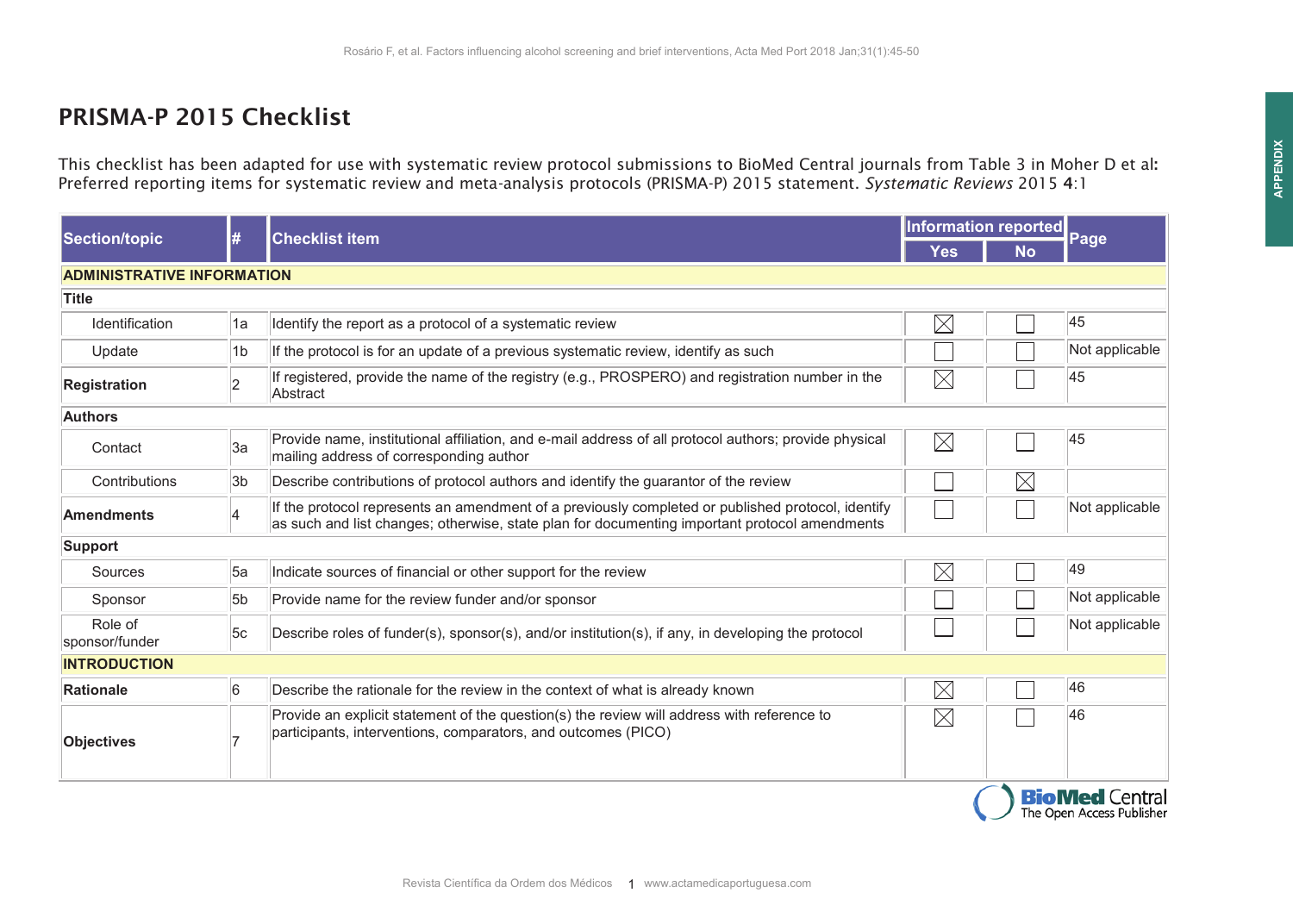## PRISMA-P 2015 Checklist

This checklist has been adapted for use with systematic review protocol submissions to BioMed Central journals from Table 3 in Moher D et al: Preferred reporting items for systematic review and meta-analysis protocols (PRISMA-P) 2015 statement. *Systematic Reviews* 2015 4:1

| <b>Section/topic</b>              | #                       | <b>Checklist item</b>                                                                                                                                                                              | Information reported |             |                                                    |
|-----------------------------------|-------------------------|----------------------------------------------------------------------------------------------------------------------------------------------------------------------------------------------------|----------------------|-------------|----------------------------------------------------|
|                                   |                         |                                                                                                                                                                                                    | <b>Yes</b>           | <b>No</b>   | Page                                               |
| <b>ADMINISTRATIVE INFORMATION</b> |                         |                                                                                                                                                                                                    |                      |             |                                                    |
| Title                             |                         |                                                                                                                                                                                                    |                      |             |                                                    |
| Identification                    | 1a                      | Identify the report as a protocol of a systematic review                                                                                                                                           | $\times$             |             | 45                                                 |
| Update                            | 1b                      | If the protocol is for an update of a previous systematic review, identify as such                                                                                                                 |                      |             | Not applicable                                     |
| Registration                      | $\overline{2}$          | If registered, provide the name of the registry (e.g., PROSPERO) and registration number in the<br>Abstract                                                                                        | $\boxtimes$          |             | 45                                                 |
| <b>Authors</b>                    |                         |                                                                                                                                                                                                    |                      |             |                                                    |
| Contact                           | 3a                      | Provide name, institutional affiliation, and e-mail address of all protocol authors; provide physical<br>mailing address of corresponding author                                                   | $\boxtimes$          |             | 45                                                 |
| Contributions                     | 3b                      | Describe contributions of protocol authors and identify the guarantor of the review                                                                                                                |                      | $\boxtimes$ |                                                    |
| <b>Amendments</b>                 | $\overline{\mathbf{4}}$ | If the protocol represents an amendment of a previously completed or published protocol, identify<br>as such and list changes; otherwise, state plan for documenting important protocol amendments |                      |             | Not applicable                                     |
| <b>Support</b>                    |                         |                                                                                                                                                                                                    |                      |             |                                                    |
| Sources                           | 5a                      | Indicate sources of financial or other support for the review                                                                                                                                      | $\times$             |             | 49                                                 |
| Sponsor                           | 5 <sub>b</sub>          | Provide name for the review funder and/or sponsor                                                                                                                                                  |                      |             | Not applicable                                     |
| Role of<br>sponsor/funder         | 5c                      | Describe roles of funder(s), sponsor(s), and/or institution(s), if any, in developing the protocol                                                                                                 |                      |             | Not applicable                                     |
| <b>INTRODUCTION</b>               |                         |                                                                                                                                                                                                    |                      |             |                                                    |
| Rationale                         | 6                       | Describe the rationale for the review in the context of what is already known                                                                                                                      | $\times$             |             | 46                                                 |
| Objectives                        |                         | Provide an explicit statement of the question(s) the review will address with reference to<br>participants, interventions, comparators, and outcomes (PICO)                                        | $\boxtimes$          |             | 46                                                 |
|                                   |                         |                                                                                                                                                                                                    |                      |             | <b>BioMed Central</b><br>The Open Access Publisher |

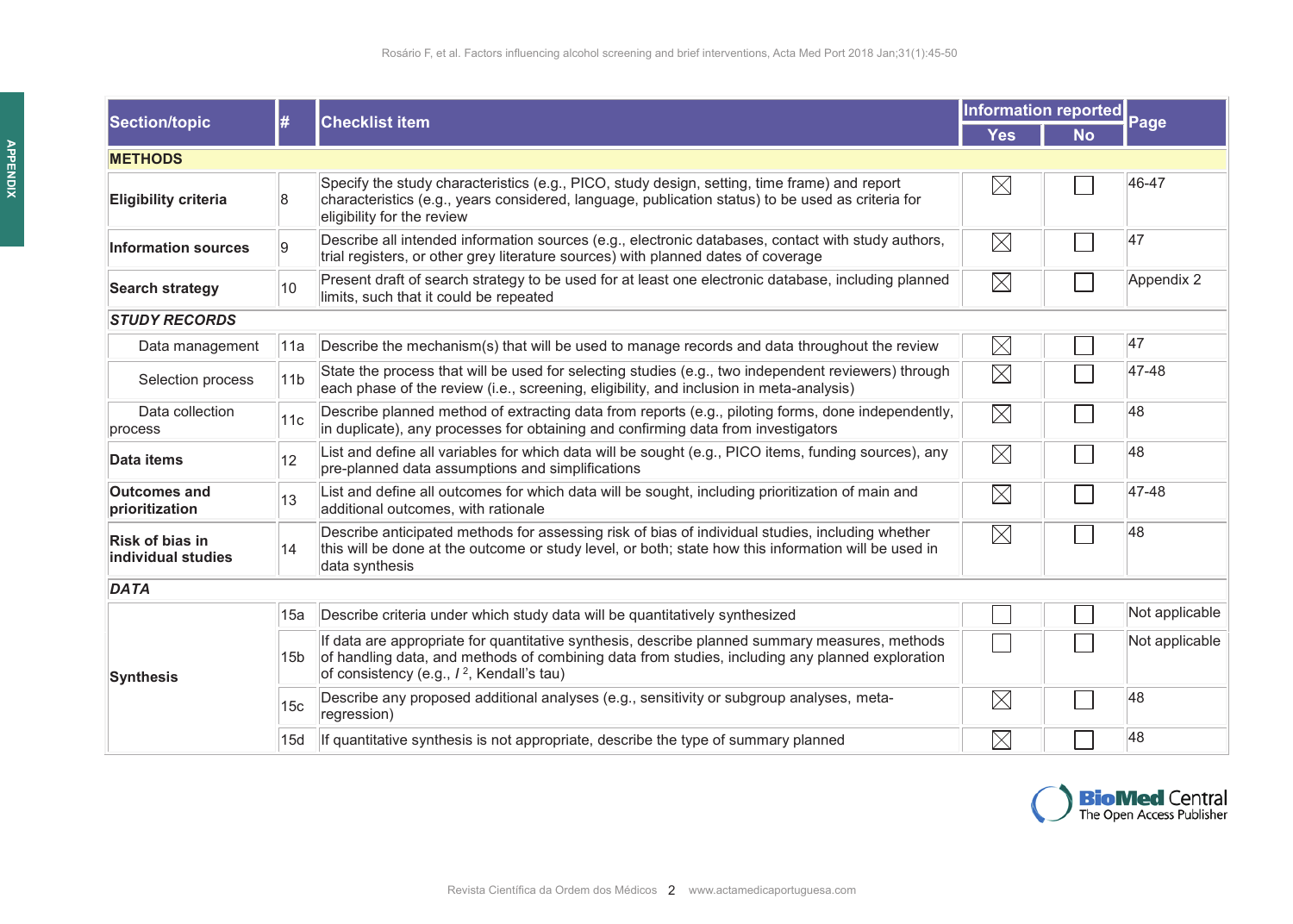| Section/topic                                | #               | <b>Checklist item</b>                                                                                                                                                                                                                                      | Information reported |           |                |  |  |  |
|----------------------------------------------|-----------------|------------------------------------------------------------------------------------------------------------------------------------------------------------------------------------------------------------------------------------------------------------|----------------------|-----------|----------------|--|--|--|
|                                              |                 |                                                                                                                                                                                                                                                            | <b>Yes</b>           | <b>No</b> | Page           |  |  |  |
| <b>METHODS</b>                               |                 |                                                                                                                                                                                                                                                            |                      |           |                |  |  |  |
| <b>Eligibility criteria</b>                  | 8               | Specify the study characteristics (e.g., PICO, study design, setting, time frame) and report<br>characteristics (e.g., years considered, language, publication status) to be used as criteria for<br>eligibility for the review                            | $\boxtimes$          |           | 46-47          |  |  |  |
| <b>Information sources</b>                   | 9               | Describe all intended information sources (e.g., electronic databases, contact with study authors,<br>trial registers, or other grey literature sources) with planned dates of coverage                                                                    | $\boxtimes$          |           | 47             |  |  |  |
| <b>Search strategy</b>                       | 10              | Present draft of search strategy to be used for at least one electronic database, including planned<br>limits, such that it could be repeated                                                                                                              | $\boxtimes$          |           | Appendix 2     |  |  |  |
| <b>STUDY RECORDS</b>                         |                 |                                                                                                                                                                                                                                                            |                      |           |                |  |  |  |
| Data management                              | 11a             | Describe the mechanism(s) that will be used to manage records and data throughout the review                                                                                                                                                               | $\boxtimes$          |           | 47             |  |  |  |
| Selection process                            | 11 <sub>b</sub> | State the process that will be used for selecting studies (e.g., two independent reviewers) through<br>each phase of the review (i.e., screening, eligibility, and inclusion in meta-analysis)                                                             | $\boxtimes$          |           | 47-48          |  |  |  |
| Data collection<br>process                   | 11c             | Describe planned method of extracting data from reports (e.g., piloting forms, done independently,<br>in duplicate), any processes for obtaining and confirming data from investigators                                                                    | $\boxtimes$          |           | 48             |  |  |  |
| Data items                                   | 12              | List and define all variables for which data will be sought (e.g., PICO items, funding sources), any<br>pre-planned data assumptions and simplifications                                                                                                   | $\boxtimes$          |           | 48             |  |  |  |
| <b>Outcomes and</b><br>prioritization        | 13              | List and define all outcomes for which data will be sought, including prioritization of main and<br>additional outcomes, with rationale                                                                                                                    | $\boxtimes$          |           | 47-48          |  |  |  |
| <b>Risk of bias in</b><br>individual studies | 14              | Describe anticipated methods for assessing risk of bias of individual studies, including whether<br>this will be done at the outcome or study level, or both; state how this information will be used in<br>data synthesis                                 | $\boxtimes$          |           | 48             |  |  |  |
| <b>DATA</b>                                  |                 |                                                                                                                                                                                                                                                            |                      |           |                |  |  |  |
|                                              | 15a             | Describe criteria under which study data will be quantitatively synthesized                                                                                                                                                                                |                      |           | Not applicable |  |  |  |
| Synthesis                                    | 15 <sub>b</sub> | If data are appropriate for quantitative synthesis, describe planned summary measures, methods<br>of handling data, and methods of combining data from studies, including any planned exploration<br>of consistency (e.g., / <sup>2</sup> , Kendall's tau) |                      |           | Not applicable |  |  |  |
|                                              | 15 <sub>c</sub> | Describe any proposed additional analyses (e.g., sensitivity or subgroup analyses, meta-<br>regression)                                                                                                                                                    | $\boxtimes$          |           | 48             |  |  |  |
|                                              | 15d             | If quantitative synthesis is not appropriate, describe the type of summary planned                                                                                                                                                                         | $\boxtimes$          |           | 48             |  |  |  |